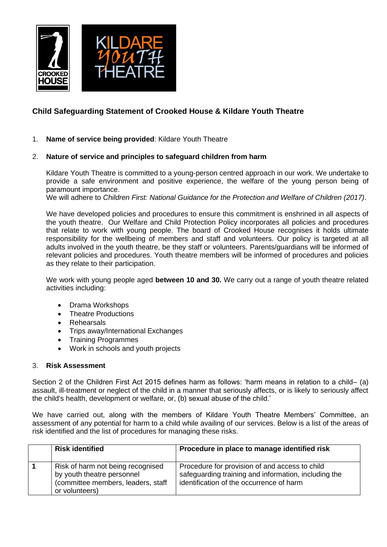

# **Child Safeguarding Statement of Crooked House & Kildare Youth Theatre**

1. **Name of service being provided**: Kildare Youth Theatre

## 2. **Nature of service and principles to safeguard children from harm**

Kildare Youth Theatre is committed to a young-person centred approach in our work. We undertake to provide a safe environment and positive experience, the welfare of the young person being of paramount importance.

We will adhere to *Children First: National Guidance for the Protection and Welfare of Children (2017)*.

We have developed policies and procedures to ensure this commitment is enshrined in all aspects of the youth theatre. Our Welfare and Child Protection Policy incorporates all policies and procedures that relate to work with young people. The board of Crooked House recognises it holds ultimate responsibility for the wellbeing of members and staff and volunteers. Our policy is targeted at all adults involved in the youth theatre, be they staff or volunteers. Parents/guardians will be informed of relevant policies and procedures. Youth theatre members will be informed of procedures and policies as they relate to their participation.

We work with young people aged **between 10 and 30.** We carry out a range of youth theatre related activities including:

- Drama Workshops
- Theatre Productions
- **Rehearsals**
- Trips away/International Exchanges
- Training Programmes
- Work in schools and youth projects

### 3. **Risk Assessment**

Section 2 of the Children First Act 2015 defines harm as follows: 'harm means in relation to a child– (a) assault, ill-treatment or neglect of the child in a manner that seriously affects, or is likely to seriously affect the child's health, development or welfare, or, (b) sexual abuse of the child.'

We have carried out, along with the members of Kildare Youth Theatre Members' Committee, an assessment of any potential for harm to a child while availing of our services. Below is a list of the areas of risk identified and the list of procedures for managing these risks.

| <b>Risk identified</b>                                                                                                  | Procedure in place to manage identified risk                                                                                                       |
|-------------------------------------------------------------------------------------------------------------------------|----------------------------------------------------------------------------------------------------------------------------------------------------|
| Risk of harm not being recognised<br>by youth theatre personnel<br>(committee members, leaders, staff<br>or volunteers) | Procedure for provision of and access to child<br>safeguarding training and information, including the<br>identification of the occurrence of harm |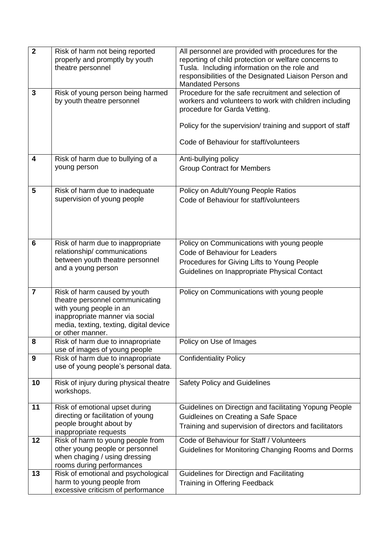| $\overline{2}$          | Risk of harm not being reported<br>properly and promptly by youth<br>theatre personnel                                                                                                       | All personnel are provided with procedures for the<br>reporting of child protection or welfare concerns to<br>Tusla. Including information on the role and<br>responsibilities of the Designated Liaison Person and<br><b>Mandated Persons</b>       |
|-------------------------|----------------------------------------------------------------------------------------------------------------------------------------------------------------------------------------------|------------------------------------------------------------------------------------------------------------------------------------------------------------------------------------------------------------------------------------------------------|
| 3                       | Risk of young person being harmed<br>by youth theatre personnel                                                                                                                              | Procedure for the safe recruitment and selection of<br>workers and volunteers to work with children including<br>procedure for Garda Vetting.<br>Policy for the supervision/ training and support of staff<br>Code of Behaviour for staff/volunteers |
| $\overline{\mathbf{4}}$ | Risk of harm due to bullying of a<br>young person                                                                                                                                            | Anti-bullying policy<br><b>Group Contract for Members</b>                                                                                                                                                                                            |
| 5                       | Risk of harm due to inadequate<br>supervision of young people                                                                                                                                | Policy on Adult/Young People Ratios<br>Code of Behaviour for staff/volunteers                                                                                                                                                                        |
| $6\phantom{1}$          | Risk of harm due to inappropriate<br>relationship/communications<br>between youth theatre personnel<br>and a young person                                                                    | Policy on Communications with young people<br>Code of Behaviour for Leaders<br>Procedures for Giving Lifts to Young People<br>Guidelines on Inappropriate Physical Contact                                                                           |
| $\overline{7}$          | Risk of harm caused by youth<br>theatre personnel communicating<br>with young people in an<br>inappropriate manner via social<br>media, texting, texting, digital device<br>or other manner. | Policy on Communications with young people                                                                                                                                                                                                           |
| 8                       | Risk of harm due to innapropriate<br>use of images of young people                                                                                                                           | Policy on Use of Images                                                                                                                                                                                                                              |
| 9                       | Risk of harm due to innapropriate<br>use of young people's personal data.                                                                                                                    | <b>Confidentiality Policy</b>                                                                                                                                                                                                                        |
| 10                      | Risk of injury during physical theatre<br>workshops.                                                                                                                                         | <b>Safety Policy and Guidelines</b>                                                                                                                                                                                                                  |
| 11                      | Risk of emotional upset during<br>directing or facilitation of young<br>people brought about by<br>inappropriate requests                                                                    | Guidelines on Directign and facilitating Yopung People<br>Guidleines on Creating a Safe Space<br>Training and supervision of directors and facilitators                                                                                              |
| 12                      | Risk of harm to young people from<br>other young people or personnel<br>when chaging / using dressing<br>rooms during performances                                                           | Code of Behaviour for Staff / Volunteers<br>Guidelines for Monitoring Changing Rooms and Dorms                                                                                                                                                       |
| 13                      | Risk of emotional and psychological<br>harm to young people from<br>excessive criticism of performance                                                                                       | Guidelines for Directign and Facilitating<br><b>Training in Offering Feedback</b>                                                                                                                                                                    |